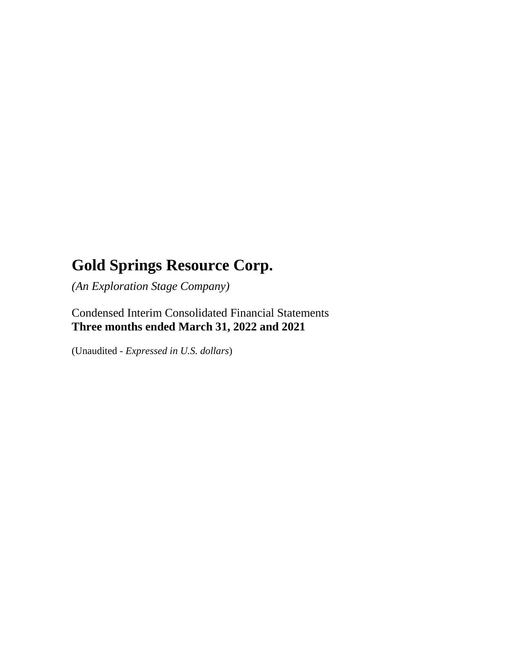*(An Exploration Stage Company)*

Condensed Interim Consolidated Financial Statements **Three months ended March 31, 2022 and 2021**

(Unaudited - *Expressed in U.S. dollars*)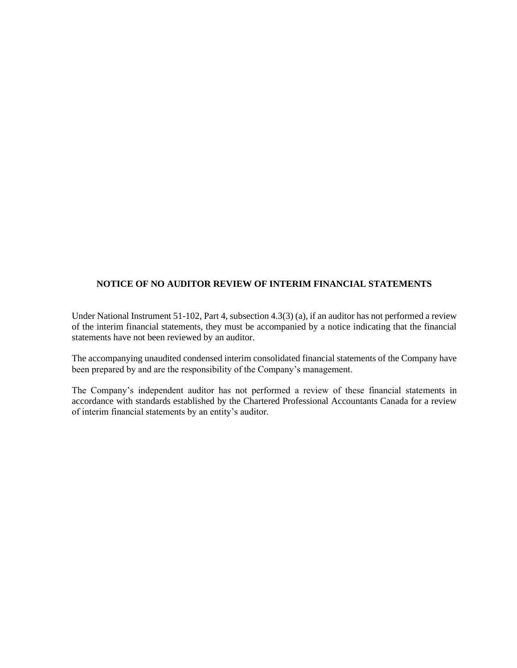#### **NOTICE OF NO AUDITOR REVIEW OF INTERIM FINANCIAL STATEMENTS**

Under National Instrument 51-102, Part 4, subsection 4.3(3) (a), if an auditor has not performed a review of the interim financial statements, they must be accompanied by a notice indicating that the financial statements have not been reviewed by an auditor.

The accompanying unaudited condensed interim consolidated financial statements of the Company have been prepared by and are the responsibility of the Company's management.

The Company's independent auditor has not performed a review of these financial statements in accordance with standards established by the Chartered Professional Accountants Canada for a review of interim financial statements by an entity's auditor.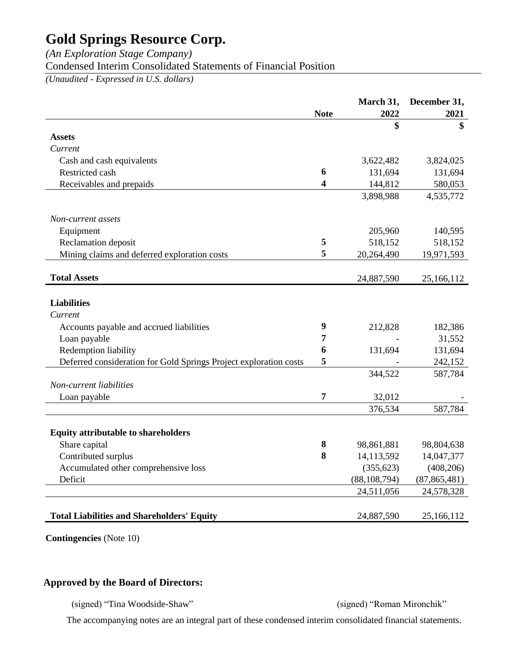*(An Exploration Stage Company)*

Condensed Interim Consolidated Statements of Financial Position

*(Unaudited - Expressed in U.S. dollars)*

|                                                                   |                  | March 31,                | December 31,             |
|-------------------------------------------------------------------|------------------|--------------------------|--------------------------|
|                                                                   | <b>Note</b>      | 2022                     | 2021                     |
|                                                                   |                  | \$                       | \$                       |
| <b>Assets</b>                                                     |                  |                          |                          |
| Current                                                           |                  |                          |                          |
| Cash and cash equivalents                                         |                  | 3,622,482                | 3,824,025                |
| Restricted cash                                                   | 6                | 131,694                  | 131,694                  |
| Receivables and prepaids                                          | 4                | 144,812                  | 580,053                  |
|                                                                   |                  | 3,898,988                | 4,535,772                |
| Non-current assets                                                |                  |                          |                          |
| Equipment                                                         |                  | 205,960                  | 140,595                  |
| Reclamation deposit                                               | 5                | 518,152                  | 518,152                  |
| Mining claims and deferred exploration costs                      | 5                | 20,264,490               | 19,971,593               |
| <b>Total Assets</b>                                               |                  |                          |                          |
|                                                                   |                  | 24,887,590               | 25,166,112               |
| <b>Liabilities</b>                                                |                  |                          |                          |
| Current                                                           |                  |                          |                          |
| Accounts payable and accrued liabilities                          | $\boldsymbol{9}$ | 212,828                  | 182,386                  |
| Loan payable                                                      | 7                |                          | 31,552                   |
| Redemption liability                                              | 6                | 131,694                  | 131,694                  |
| Deferred consideration for Gold Springs Project exploration costs | 5                |                          | 242,152                  |
|                                                                   |                  | 344,522                  | 587,784                  |
| Non-current liabilities                                           |                  |                          |                          |
| Loan payable                                                      | $\overline{7}$   | 32,012                   |                          |
|                                                                   |                  | 376,534                  | 587,784                  |
| <b>Equity attributable to shareholders</b>                        |                  |                          |                          |
| Share capital                                                     | 8                |                          |                          |
| Contributed surplus                                               | 8                | 98,861,881<br>14,113,592 | 98,804,638<br>14,047,377 |
|                                                                   |                  |                          |                          |
| Accumulated other comprehensive loss<br>Deficit                   |                  | (355, 623)               | (408, 206)               |
|                                                                   |                  | (88, 108, 794)           | (87, 865, 481)           |
|                                                                   |                  | 24,511,056               | 24,578,328               |
| <b>Total Liabilities and Shareholders' Equity</b>                 |                  | 24,887,590               | 25,166,112               |

**Contingencies** (Note 10)

## **Approved by the Board of Directors:**

(signed) "Tina Woodside-Shaw" (signed) "Roman Mironchik"

The accompanying notes are an integral part of these condensed interim consolidated financial statements.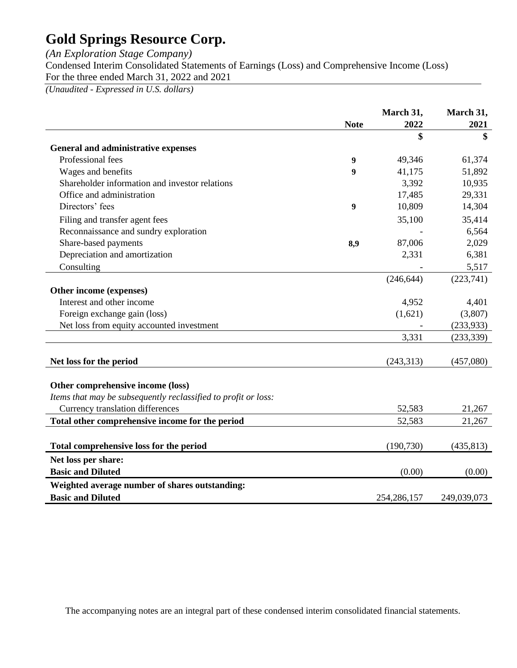*(An Exploration Stage Company)*

Condensed Interim Consolidated Statements of Earnings (Loss) and Comprehensive Income (Loss) For the three ended March 31, 2022 and 2021

*(Unaudited - Expressed in U.S. dollars)*

|                                                                |             | March 31,     | March 31,   |
|----------------------------------------------------------------|-------------|---------------|-------------|
|                                                                | <b>Note</b> | 2022          | 2021        |
|                                                                |             | \$            | \$          |
| <b>General and administrative expenses</b>                     |             |               |             |
| Professional fees                                              | 9           | 49,346        | 61,374      |
| Wages and benefits                                             | 9           | 41,175        | 51,892      |
| Shareholder information and investor relations                 |             | 3,392         | 10,935      |
| Office and administration                                      |             | 17,485        | 29,331      |
| Directors' fees                                                | 9           | 10,809        | 14,304      |
| Filing and transfer agent fees                                 |             | 35,100        | 35,414      |
| Reconnaissance and sundry exploration                          |             |               | 6,564       |
| Share-based payments                                           | 8,9         | 87,006        | 2,029       |
| Depreciation and amortization                                  |             | 2,331         | 6,381       |
| Consulting                                                     |             |               | 5,517       |
|                                                                |             | (246, 644)    | (223,741)   |
| Other income (expenses)                                        |             |               |             |
| Interest and other income                                      |             | 4,952         | 4,401       |
| Foreign exchange gain (loss)                                   |             | (1,621)       | (3,807)     |
| Net loss from equity accounted investment                      |             |               | (233, 933)  |
|                                                                |             | 3.331         | (233, 339)  |
|                                                                |             |               |             |
| Net loss for the period                                        |             | (243, 313)    | (457,080)   |
| Other comprehensive income (loss)                              |             |               |             |
| Items that may be subsequently reclassified to profit or loss: |             |               |             |
| Currency translation differences                               |             | 52,583        | 21,267      |
| Total other comprehensive income for the period                |             | 52,583        | 21,267      |
|                                                                |             |               |             |
| Total comprehensive loss for the period                        |             | (190, 730)    | (435, 813)  |
| Net loss per share:                                            |             |               |             |
| <b>Basic and Diluted</b>                                       |             | (0.00)        | (0.00)      |
| Weighted average number of shares outstanding:                 |             |               |             |
| <b>Basic and Diluted</b>                                       |             | 254, 286, 157 | 249,039,073 |

The accompanying notes are an integral part of these condensed interim consolidated financial statements.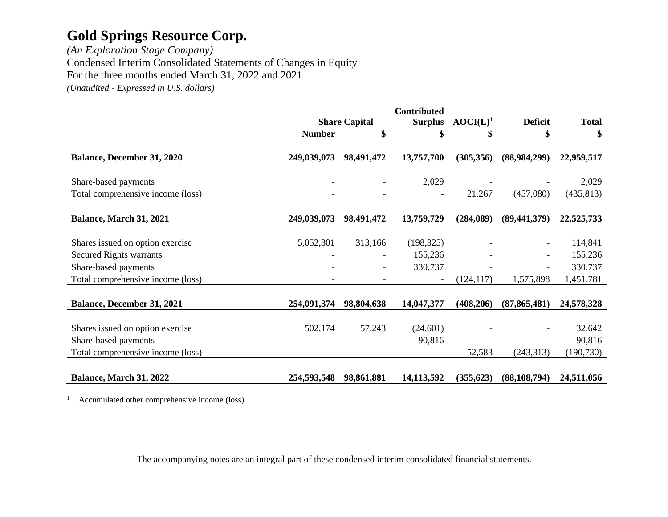*(An Exploration Stage Company)* Condensed Interim Consolidated Statements of Changes in Equity For the three months ended March 31, 2022 and 2021

*(Unaudited - Expressed in U.S. dollars)*

|                                                                                                                                 |               |                      | <b>Contributed</b>               |             |                |                                            |
|---------------------------------------------------------------------------------------------------------------------------------|---------------|----------------------|----------------------------------|-------------|----------------|--------------------------------------------|
|                                                                                                                                 |               | <b>Share Capital</b> | <b>Surplus</b>                   | $AOCI(L)^1$ | <b>Deficit</b> | <b>Total</b>                               |
|                                                                                                                                 | <b>Number</b> | \$                   | \$                               | \$          | \$             | \$                                         |
| <b>Balance, December 31, 2020</b>                                                                                               | 249,039,073   | 98,491,472           | 13,757,700                       | (305, 356)  | (88,984,299)   | 22,959,517                                 |
| Share-based payments                                                                                                            |               |                      | 2,029                            |             |                | 2,029                                      |
| Total comprehensive income (loss)                                                                                               |               |                      |                                  | 21,267      | (457,080)      | (435, 813)                                 |
| Balance, March 31, 2021                                                                                                         | 249,039,073   | 98,491,472           | 13,759,729                       | (284,089)   | (89, 441, 379) | 22,525,733                                 |
| Shares issued on option exercise<br><b>Secured Rights warrants</b><br>Share-based payments<br>Total comprehensive income (loss) | 5,052,301     | 313,166              | (198, 325)<br>155,236<br>330,737 | (124, 117)  | 1,575,898      | 114,841<br>155,236<br>330,737<br>1,451,781 |
| <b>Balance, December 31, 2021</b>                                                                                               | 254,091,374   | 98,804,638           | 14,047,377                       | (408, 206)  | (87, 865, 481) | 24,578,328                                 |
| Shares issued on option exercise<br>Share-based payments<br>Total comprehensive income (loss)                                   | 502,174       | 57,243               | (24,601)<br>90,816               | 52,583      | (243, 313)     | 32,642<br>90,816<br>(190, 730)             |
| Balance, March 31, 2022                                                                                                         | 254,593,548   | 98,861,881           | 14, 113, 592                     | (355, 623)  | (88, 108, 794) | 24,511,056                                 |

<sup>1</sup> Accumulated other comprehensive income (loss)

The accompanying notes are an integral part of these condensed interim consolidated financial statements.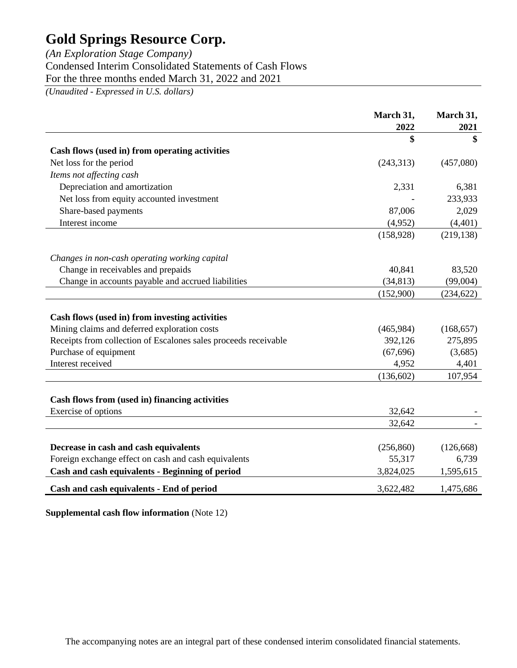# *(An Exploration Stage Company)* Condensed Interim Consolidated Statements of Cash Flows For the three months ended March 31, 2022 and 2021

*(Unaudited - Expressed in U.S. dollars)*

|                                                                                               | March 31,            | March 31,           |
|-----------------------------------------------------------------------------------------------|----------------------|---------------------|
|                                                                                               | 2022                 | 2021                |
|                                                                                               | \$                   | \$                  |
| Cash flows (used in) from operating activities                                                |                      |                     |
| Net loss for the period                                                                       | (243, 313)           | (457,080)           |
| Items not affecting cash                                                                      |                      |                     |
| Depreciation and amortization                                                                 | 2,331                | 6,381               |
| Net loss from equity accounted investment                                                     |                      | 233,933             |
| Share-based payments                                                                          | 87,006               | 2,029               |
| Interest income                                                                               | (4,952)              | (4, 401)            |
|                                                                                               | (158, 928)           | (219, 138)          |
| Changes in non-cash operating working capital                                                 |                      |                     |
| Change in receivables and prepaids                                                            | 40,841               | 83,520              |
| Change in accounts payable and accrued liabilities                                            | (34, 813)            | (99,004)            |
|                                                                                               | (152,900)            | (234, 622)          |
|                                                                                               |                      |                     |
| Cash flows (used in) from investing activities                                                |                      |                     |
| Mining claims and deferred exploration costs                                                  | (465,984)            | (168, 657)          |
| Receipts from collection of Escalones sales proceeds receivable                               | 392,126              | 275,895             |
| Purchase of equipment                                                                         | (67, 696)            | (3,685)             |
| Interest received                                                                             | 4,952                | 4,401               |
|                                                                                               | (136, 602)           | 107,954             |
|                                                                                               |                      |                     |
| Cash flows from (used in) financing activities                                                |                      |                     |
| Exercise of options                                                                           | 32,642               |                     |
|                                                                                               | 32,642               |                     |
|                                                                                               |                      |                     |
| Decrease in cash and cash equivalents<br>Foreign exchange effect on cash and cash equivalents | (256, 860)<br>55,317 | (126, 668)<br>6,739 |
|                                                                                               |                      |                     |
| Cash and cash equivalents - Beginning of period                                               | 3,824,025            | 1,595,615           |
| Cash and cash equivalents - End of period                                                     | 3,622,482            | 1,475,686           |

**Supplemental cash flow information** (Note 12)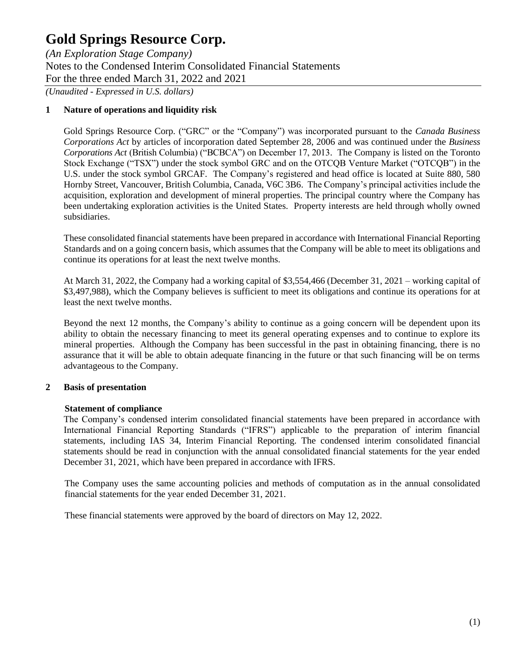*(An Exploration Stage Company)* Notes to the Condensed Interim Consolidated Financial Statements For the three ended March 31, 2022 and 2021

*(Unaudited - Expressed in U.S. dollars)*

### **1 Nature of operations and liquidity risk**

Gold Springs Resource Corp. ("GRC" or the "Company") was incorporated pursuant to the *Canada Business Corporations Act* by articles of incorporation dated September 28, 2006 and was continued under the *Business Corporations Act* (British Columbia) ("BCBCA") on December 17, 2013. The Company is listed on the Toronto Stock Exchange ("TSX") under the stock symbol GRC and on the OTCQB Venture Market ("OTCQB") in the U.S. under the stock symbol GRCAF. The Company's registered and head office is located at Suite 880, 580 Hornby Street, Vancouver, British Columbia, Canada, V6C 3B6. The Company's principal activities include the acquisition, exploration and development of mineral properties. The principal country where the Company has been undertaking exploration activities is the United States. Property interests are held through wholly owned subsidiaries.

These consolidated financial statements have been prepared in accordance with International Financial Reporting Standards and on a going concern basis, which assumes that the Company will be able to meet its obligations and continue its operations for at least the next twelve months.

At March 31, 2022, the Company had a working capital of \$3,554,466 (December 31, 2021 – working capital of \$3,497,988), which the Company believes is sufficient to meet its obligations and continue its operations for at least the next twelve months.

Beyond the next 12 months, the Company's ability to continue as a going concern will be dependent upon its ability to obtain the necessary financing to meet its general operating expenses and to continue to explore its mineral properties. Although the Company has been successful in the past in obtaining financing, there is no assurance that it will be able to obtain adequate financing in the future or that such financing will be on terms advantageous to the Company.

### **2 Basis of presentation**

### **Statement of compliance**

The Company's condensed interim consolidated financial statements have been prepared in accordance with International Financial Reporting Standards ("IFRS") applicable to the preparation of interim financial statements, including IAS 34, Interim Financial Reporting. The condensed interim consolidated financial statements should be read in conjunction with the annual consolidated financial statements for the year ended December 31, 2021, which have been prepared in accordance with IFRS.

The Company uses the same accounting policies and methods of computation as in the annual consolidated financial statements for the year ended December 31, 2021.

These financial statements were approved by the board of directors on May 12, 2022.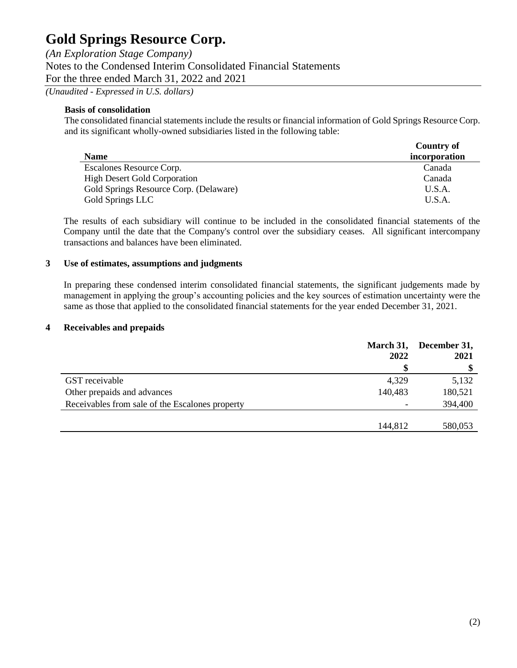*(An Exploration Stage Company)* Notes to the Condensed Interim Consolidated Financial Statements For the three ended March 31, 2022 and 2021 *(Unaudited - Expressed in U.S. dollars)*

## **Basis of consolidation**

The consolidated financial statements include the results or financial information of Gold Springs Resource Corp. and its significant wholly-owned subsidiaries listed in the following table:

|                                        | <b>Country of</b> |
|----------------------------------------|-------------------|
| <b>Name</b>                            | incorporation     |
| Escalones Resource Corp.               | Canada            |
| <b>High Desert Gold Corporation</b>    | Canada            |
| Gold Springs Resource Corp. (Delaware) | U.S.A.            |
| Gold Springs LLC                       | U.S.A             |

The results of each subsidiary will continue to be included in the consolidated financial statements of the Company until the date that the Company's control over the subsidiary ceases. All significant intercompany transactions and balances have been eliminated.

### **3 Use of estimates, assumptions and judgments**

In preparing these condensed interim consolidated financial statements, the significant judgements made by management in applying the group's accounting policies and the key sources of estimation uncertainty were the same as those that applied to the consolidated financial statements for the year ended December 31, 2021.

### **4 Receivables and prepaids**

|                                                 | March 31,<br>2022 | December 31,<br>2021 |
|-------------------------------------------------|-------------------|----------------------|
|                                                 |                   |                      |
| GST receivable                                  | 4,329             | 5,132                |
| Other prepaids and advances                     | 140,483           | 180,521              |
| Receivables from sale of the Escalones property |                   | 394,400              |
|                                                 | 144,812           | 580,053              |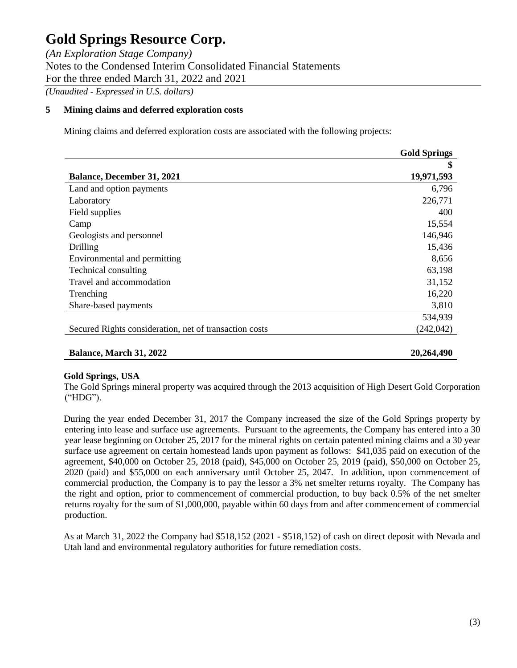*(An Exploration Stage Company)* Notes to the Condensed Interim Consolidated Financial Statements For the three ended March 31, 2022 and 2021 *(Unaudited - Expressed in U.S. dollars)*

**5 Mining claims and deferred exploration costs** 

Mining claims and deferred exploration costs are associated with the following projects:

|                                                        | <b>Gold Springs</b> |
|--------------------------------------------------------|---------------------|
|                                                        | \$                  |
| <b>Balance, December 31, 2021</b>                      | 19,971,593          |
| Land and option payments                               | 6,796               |
| Laboratory                                             | 226,771             |
| Field supplies                                         | 400                 |
| Camp                                                   | 15,554              |
| Geologists and personnel                               | 146,946             |
| Drilling                                               | 15,436              |
| Environmental and permitting                           | 8,656               |
| Technical consulting                                   | 63,198              |
| Travel and accommodation                               | 31,152              |
| Trenching                                              | 16,220              |
| Share-based payments                                   | 3,810               |
|                                                        | 534,939             |
| Secured Rights consideration, net of transaction costs | (242, 042)          |
| Balance, March 31, 2022                                | 20,264,490          |

### **Gold Springs, USA**

The Gold Springs mineral property was acquired through the 2013 acquisition of High Desert Gold Corporation ("HDG").

During the year ended December 31, 2017 the Company increased the size of the Gold Springs property by entering into lease and surface use agreements. Pursuant to the agreements, the Company has entered into a 30 year lease beginning on October 25, 2017 for the mineral rights on certain patented mining claims and a 30 year surface use agreement on certain homestead lands upon payment as follows: \$41,035 paid on execution of the agreement, \$40,000 on October 25, 2018 (paid), \$45,000 on October 25, 2019 (paid), \$50,000 on October 25, 2020 (paid) and \$55,000 on each anniversary until October 25, 2047. In addition, upon commencement of commercial production, the Company is to pay the lessor a 3% net smelter returns royalty. The Company has the right and option, prior to commencement of commercial production, to buy back 0.5% of the net smelter returns royalty for the sum of \$1,000,000, payable within 60 days from and after commencement of commercial production.

As at March 31, 2022 the Company had \$518,152 (2021 - \$518,152) of cash on direct deposit with Nevada and Utah land and environmental regulatory authorities for future remediation costs.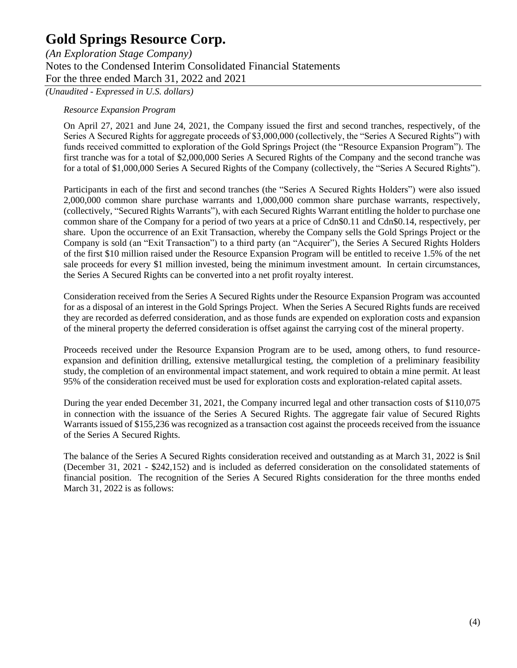*(An Exploration Stage Company)* Notes to the Condensed Interim Consolidated Financial Statements For the three ended March 31, 2022 and 2021

*(Unaudited - Expressed in U.S. dollars)*

### *Resource Expansion Program*

On April 27, 2021 and June 24, 2021, the Company issued the first and second tranches, respectively, of the Series A Secured Rights for aggregate proceeds of \$3,000,000 (collectively, the "Series A Secured Rights") with funds received committed to exploration of the Gold Springs Project (the "Resource Expansion Program"). The first tranche was for a total of \$2,000,000 Series A Secured Rights of the Company and the second tranche was for a total of \$1,000,000 Series A Secured Rights of the Company (collectively, the "Series A Secured Rights").

Participants in each of the first and second tranches (the "Series A Secured Rights Holders") were also issued 2,000,000 common share purchase warrants and 1,000,000 common share purchase warrants, respectively, (collectively, "Secured Rights Warrants"), with each Secured Rights Warrant entitling the holder to purchase one common share of the Company for a period of two years at a price of Cdn\$0.11 and Cdn\$0.14, respectively, per share. Upon the occurrence of an Exit Transaction, whereby the Company sells the Gold Springs Project or the Company is sold (an "Exit Transaction") to a third party (an "Acquirer"), the Series A Secured Rights Holders of the first \$10 million raised under the Resource Expansion Program will be entitled to receive 1.5% of the net sale proceeds for every \$1 million invested, being the minimum investment amount. In certain circumstances, the Series A Secured Rights can be converted into a net profit royalty interest.

Consideration received from the Series A Secured Rights under the Resource Expansion Program was accounted for as a disposal of an interest in the Gold Springs Project. When the Series A Secured Rights funds are received they are recorded as deferred consideration, and as those funds are expended on exploration costs and expansion of the mineral property the deferred consideration is offset against the carrying cost of the mineral property.

Proceeds received under the Resource Expansion Program are to be used, among others, to fund resourceexpansion and definition drilling, extensive metallurgical testing, the completion of a preliminary feasibility study, the completion of an environmental impact statement, and work required to obtain a mine permit. At least 95% of the consideration received must be used for exploration costs and exploration-related capital assets.

During the year ended December 31, 2021, the Company incurred legal and other transaction costs of \$110,075 in connection with the issuance of the Series A Secured Rights. The aggregate fair value of Secured Rights Warrants issued of \$155,236 was recognized as a transaction cost against the proceeds received from the issuance of the Series A Secured Rights.

The balance of the Series A Secured Rights consideration received and outstanding as at March 31, 2022 is \$nil (December 31, 2021 - \$242,152) and is included as deferred consideration on the consolidated statements of financial position. The recognition of the Series A Secured Rights consideration for the three months ended March 31, 2022 is as follows: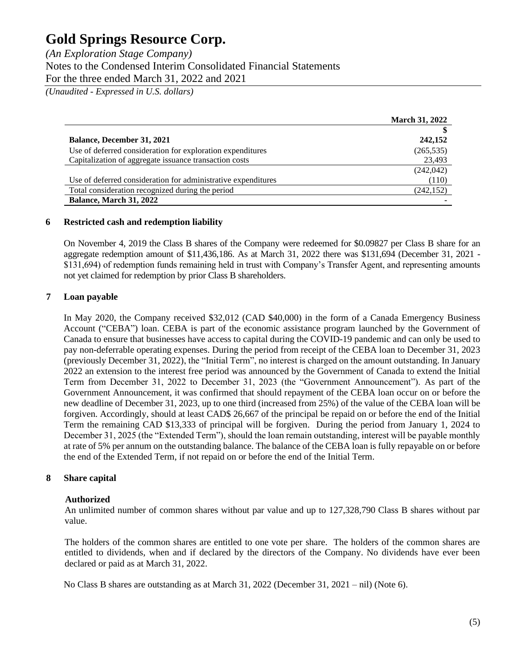| (An Exploration Stage Company)                                   |  |
|------------------------------------------------------------------|--|
| Notes to the Condensed Interim Consolidated Financial Statements |  |
| For the three ended March 31, 2022 and 2021                      |  |
|                                                                  |  |

*(Unaudited - Expressed in U.S. dollars)*

|                                                               | <b>March 31, 2022</b> |
|---------------------------------------------------------------|-----------------------|
|                                                               |                       |
| <b>Balance, December 31, 2021</b>                             | 242,152               |
| Use of deferred consideration for exploration expenditures    | (265, 535)            |
| Capitalization of aggregate issuance transaction costs        | 23,493                |
|                                                               | (242, 042)            |
| Use of deferred consideration for administrative expenditures | (110)                 |
| Total consideration recognized during the period              | (242, 152)            |
| Balance, March 31, 2022                                       |                       |

### **6 Restricted cash and redemption liability**

On November 4, 2019 the Class B shares of the Company were redeemed for \$0.09827 per Class B share for an aggregate redemption amount of \$11,436,186. As at March 31, 2022 there was \$131,694 (December 31, 2021 - \$131,694) of redemption funds remaining held in trust with Company's Transfer Agent, and representing amounts not yet claimed for redemption by prior Class B shareholders.

### **7 Loan payable**

In May 2020, the Company received \$32,012 (CAD \$40,000) in the form of a Canada Emergency Business Account ("CEBA") loan. CEBA is part of the economic assistance program launched by the Government of Canada to ensure that businesses have access to capital during the COVID-19 pandemic and can only be used to pay non-deferrable operating expenses. During the period from receipt of the CEBA loan to December 31, 2023 (previously December 31, 2022), the "Initial Term", no interest is charged on the amount outstanding. In January 2022 an extension to the interest free period was announced by the Government of Canada to extend the Initial Term from December 31, 2022 to December 31, 2023 (the "Government Announcement"). As part of the Government Announcement, it was confirmed that should repayment of the CEBA loan occur on or before the new deadline of December 31, 2023, up to one third (increased from 25%) of the value of the CEBA loan will be forgiven. Accordingly, should at least CAD\$ 26,667 of the principal be repaid on or before the end of the Initial Term the remaining CAD \$13,333 of principal will be forgiven. During the period from January 1, 2024 to December 31, 2025 (the "Extended Term"), should the loan remain outstanding, interest will be payable monthly at rate of 5% per annum on the outstanding balance. The balance of the CEBA loan is fully repayable on or before the end of the Extended Term, if not repaid on or before the end of the Initial Term.

### **8 Share capital**

### **Authorized**

An unlimited number of common shares without par value and up to 127,328,790 Class B shares without par value.

The holders of the common shares are entitled to one vote per share. The holders of the common shares are entitled to dividends, when and if declared by the directors of the Company. No dividends have ever been declared or paid as at March 31, 2022.

No Class B shares are outstanding as at March 31, 2022 (December 31, 2021 – nil) (Note 6).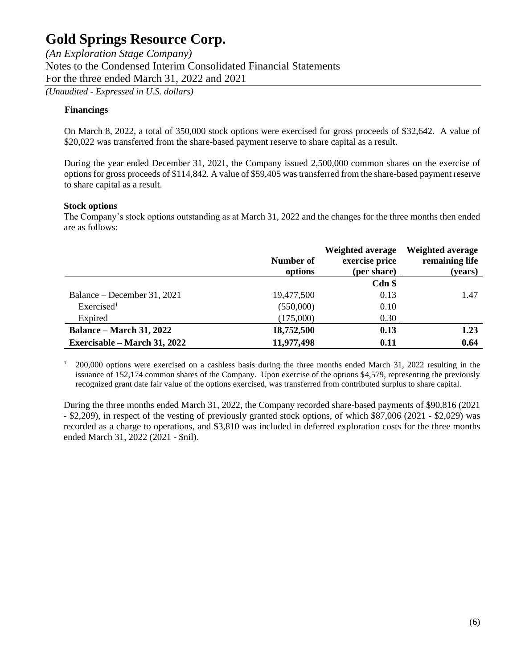*(An Exploration Stage Company)* Notes to the Condensed Interim Consolidated Financial Statements For the three ended March 31, 2022 and 2021

*(Unaudited - Expressed in U.S. dollars)*

### **Financings**

On March 8, 2022, a total of 350,000 stock options were exercised for gross proceeds of \$32,642. A value of \$20,022 was transferred from the share-based payment reserve to share capital as a result.

During the year ended December 31, 2021, the Company issued 2,500,000 common shares on the exercise of options for gross proceeds of \$114,842. A value of \$59,405 was transferred from the share-based payment reserve to share capital as a result.

### **Stock options**

The Company's stock options outstanding as at March 31, 2022 and the changes for the three months then ended are as follows:

|                                 | Number of<br>options | <b>Weighted average</b><br>exercise price<br>(per share) | <b>Weighted average</b><br>remaining life<br>(years) |
|---------------------------------|----------------------|----------------------------------------------------------|------------------------------------------------------|
|                                 |                      | $Cdn$ \$                                                 |                                                      |
| Balance – December 31, 2021     | 19,477,500           | 0.13                                                     | 1.47                                                 |
| Exercised <sup>1</sup>          | (550,000)            | 0.10                                                     |                                                      |
| Expired                         | (175,000)            | 0.30                                                     |                                                      |
| <b>Balance – March 31, 2022</b> | 18,752,500           | 0.13                                                     | 1.23                                                 |
| Exercisable – March 31, 2022    | 11,977,498           | 0.11                                                     | 0.64                                                 |

 $1\quad 200,000$  options were exercised on a cashless basis during the three months ended March 31, 2022 resulting in the issuance of 152,174 common shares of the Company. Upon exercise of the options \$4,579, representing the previously recognized grant date fair value of the options exercised, was transferred from contributed surplus to share capital.

During the three months ended March 31, 2022, the Company recorded share-based payments of \$90,816 (2021 - \$2,209), in respect of the vesting of previously granted stock options, of which \$87,006 (2021 - \$2,029) was recorded as a charge to operations, and \$3,810 was included in deferred exploration costs for the three months ended March 31, 2022 (2021 - \$nil).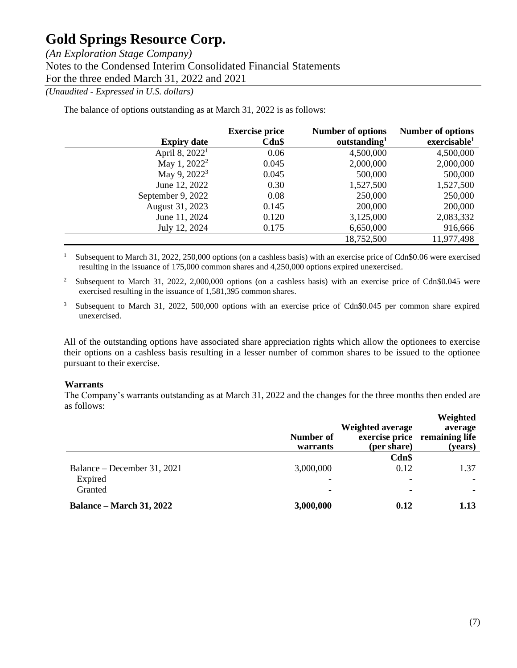*(An Exploration Stage Company)* Notes to the Condensed Interim Consolidated Financial Statements For the three ended March 31, 2022 and 2021

*(Unaudited - Expressed in U.S. dollars)*

The balance of options outstanding as at March 31, 2022 is as follows:

|                            | <b>Exercise price</b> | <b>Number of options</b> | <b>Number of options</b> |
|----------------------------|-----------------------|--------------------------|--------------------------|
| <b>Expiry date</b>         | $Cdn$ \$              | outstanding <sup>1</sup> | exercisable <sup>1</sup> |
| April 8, 2022 <sup>1</sup> | 0.06                  | 4,500,000                | 4,500,000                |
| May 1, 2022 <sup>2</sup>   | 0.045                 | 2,000,000                | 2,000,000                |
| May 9, $2022^3$            | 0.045                 | 500,000                  | 500,000                  |
| June 12, 2022              | 0.30                  | 1,527,500                | 1,527,500                |
| September 9, 2022          | 0.08                  | 250,000                  | 250,000                  |
| August 31, 2023            | 0.145                 | 200,000                  | 200,000                  |
| June 11, 2024              | 0.120                 | 3,125,000                | 2,083,332                |
| July 12, 2024              | 0.175                 | 6,650,000                | 916,666                  |
|                            |                       | 18,752,500               | 11,977,498               |

<sup>1</sup> Subsequent to March 31, 2022, 250,000 options (on a cashless basis) with an exercise price of Cdn\$0.06 were exercised resulting in the issuance of 175,000 common shares and 4,250,000 options expired unexercised.

<sup>2</sup> Subsequent to March 31, 2022, 2,000,000 options (on a cashless basis) with an exercise price of Cdn\$0.045 were exercised resulting in the issuance of 1,581,395 common shares.

<sup>3</sup> Subsequent to March 31, 2022, 500,000 options with an exercise price of Cdn\$0.045 per common share expired unexercised.

All of the outstanding options have associated share appreciation rights which allow the optionees to exercise their options on a cashless basis resulting in a lesser number of common shares to be issued to the optionee pursuant to their exercise.

### **Warrants**

The Company's warrants outstanding as at March 31, 2022 and the changes for the three months then ended are as follows:

|                                 | Number of<br>warrants | <b>Weighted average</b><br>(per share) | Weighted<br>average<br>exercise price remaining life<br>(years) |
|---------------------------------|-----------------------|----------------------------------------|-----------------------------------------------------------------|
| Balance – December 31, 2021     | 3,000,000             | Cdn\$<br>0.12                          | 1.37                                                            |
| Expired                         |                       | $\blacksquare$                         |                                                                 |
| Granted                         | ۰                     | ۰                                      |                                                                 |
| <b>Balance – March 31, 2022</b> | 3,000,000             | 0.12                                   | 1.13                                                            |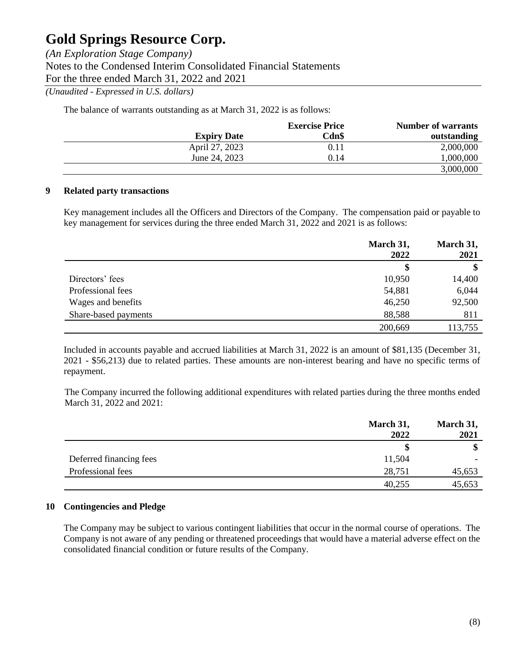*(An Exploration Stage Company)* Notes to the Condensed Interim Consolidated Financial Statements For the three ended March 31, 2022 and 2021

*(Unaudited - Expressed in U.S. dollars)*

The balance of warrants outstanding as at March 31, 2022 is as follows:

|                    | <b>Exercise Price</b> | <b>Number of warrants</b> |
|--------------------|-----------------------|---------------------------|
| <b>Expiry Date</b> | Cdn\$                 | outstanding               |
| April 27, 2023     | 0.11                  | 2,000,000                 |
| June 24, 2023      | 0.14                  | 1,000,000                 |
|                    |                       | 3,000,000                 |

### **9 Related party transactions**

Key management includes all the Officers and Directors of the Company. The compensation paid or payable to key management for services during the three ended March 31, 2022 and 2021 is as follows:

|                      | March 31,<br>2022 | March 31,<br>2021 |
|----------------------|-------------------|-------------------|
|                      | \$                | \$                |
| Directors' fees      | 10,950            | 14,400            |
| Professional fees    | 54,881            | 6,044             |
| Wages and benefits   | 46,250            | 92,500            |
| Share-based payments | 88,588            | 811               |
|                      | 200,669           | 113,755           |

Included in accounts payable and accrued liabilities at March 31, 2022 is an amount of \$81,135 (December 31, 2021 - \$56,213) due to related parties. These amounts are non-interest bearing and have no specific terms of repayment.

The Company incurred the following additional expenditures with related parties during the three months ended March 31, 2022 and 2021:

|                         | March 31,<br>2022 | March 31,<br>2021 |
|-------------------------|-------------------|-------------------|
|                         | S                 | \$                |
| Deferred financing fees | 11,504            |                   |
| Professional fees       | 28,751            | 45,653            |
|                         | 40,255            | 45,653            |

### **10 Contingencies and Pledge**

The Company may be subject to various contingent liabilities that occur in the normal course of operations. The Company is not aware of any pending or threatened proceedings that would have a material adverse effect on the consolidated financial condition or future results of the Company.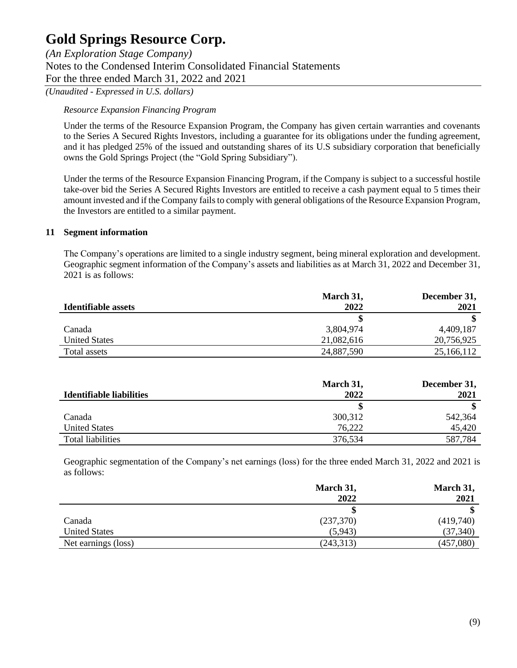*(An Exploration Stage Company)* Notes to the Condensed Interim Consolidated Financial Statements For the three ended March 31, 2022 and 2021

*(Unaudited - Expressed in U.S. dollars)*

### *Resource Expansion Financing Program*

Under the terms of the Resource Expansion Program, the Company has given certain warranties and covenants to the Series A Secured Rights Investors, including a guarantee for its obligations under the funding agreement, and it has pledged 25% of the issued and outstanding shares of its U.S subsidiary corporation that beneficially owns the Gold Springs Project (the "Gold Spring Subsidiary").

Under the terms of the Resource Expansion Financing Program, if the Company is subject to a successful hostile take-over bid the Series A Secured Rights Investors are entitled to receive a cash payment equal to 5 times their amount invested and if the Company fails to comply with general obligations of the Resource Expansion Program, the Investors are entitled to a similar payment.

### **11 Segment information**

The Company's operations are limited to a single industry segment, being mineral exploration and development. Geographic segment information of the Company's assets and liabilities as at March 31, 2022 and December 31, 2021 is as follows:

|                      | March 31,  | December 31, |
|----------------------|------------|--------------|
| Identifiable assets  | 2022       | 2021         |
|                      |            |              |
| Canada               | 3,804,974  | 4,409,187    |
| <b>United States</b> | 21,082,616 | 20,756,925   |
| Total assets         | 24,887,590 | 25,166,112   |

|                          | March 31, | December 31, |
|--------------------------|-----------|--------------|
| Identifiable liabilities | 2022      | 2021         |
|                          |           |              |
| Canada                   | 300,312   | 542,364      |
| <b>United States</b>     | 76,222    | 45,420       |
| Total liabilities        | 376,534   | 587,784      |

Geographic segmentation of the Company's net earnings (loss) for the three ended March 31, 2022 and 2021 is as follows:

|                      | March 31,  | March 31, |
|----------------------|------------|-----------|
|                      | 2022       | 2021      |
|                      | \$         |           |
| Canada               | (237,370)  | (419,740) |
| <b>United States</b> | (5,943)    | (37, 340) |
| Net earnings (loss)  | (243, 313) | (457,080) |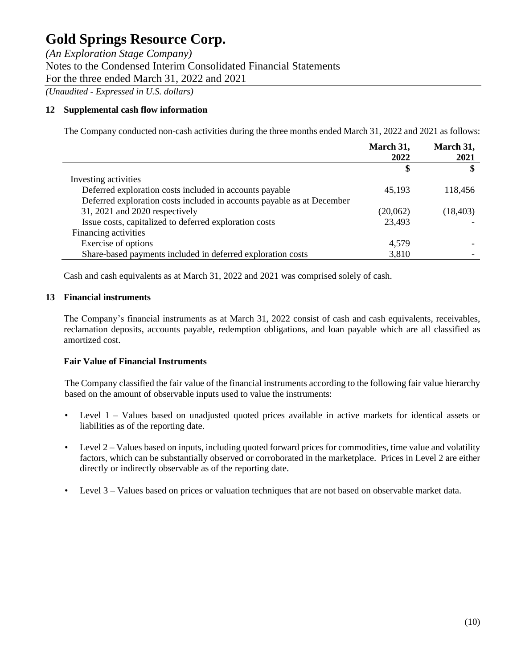*(An Exploration Stage Company)* Notes to the Condensed Interim Consolidated Financial Statements For the three ended March 31, 2022 and 2021 *(Unaudited - Expressed in U.S. dollars)*

## **12 Supplemental cash flow information**

The Company conducted non-cash activities during the three months ended March 31, 2022 and 2021 as follows:

|                                                                        | March 31,<br>2022 | March 31,<br>2021 |
|------------------------------------------------------------------------|-------------------|-------------------|
|                                                                        | \$                | \$                |
| Investing activities                                                   |                   |                   |
| Deferred exploration costs included in accounts payable                | 45,193            | 118,456           |
| Deferred exploration costs included in accounts payable as at December |                   |                   |
| 31, 2021 and 2020 respectively                                         | (20,062)          | (18, 403)         |
| Issue costs, capitalized to deferred exploration costs                 | 23,493            |                   |
| Financing activities                                                   |                   |                   |
| Exercise of options                                                    | 4,579             |                   |
| Share-based payments included in deferred exploration costs            | 3,810             |                   |

Cash and cash equivalents as at March 31, 2022 and 2021 was comprised solely of cash.

### **13 Financial instruments**

The Company's financial instruments as at March 31, 2022 consist of cash and cash equivalents, receivables, reclamation deposits, accounts payable, redemption obligations, and loan payable which are all classified as amortized cost.

### **Fair Value of Financial Instruments**

The Company classified the fair value of the financial instruments according to the following fair value hierarchy based on the amount of observable inputs used to value the instruments:

- Level 1 Values based on unadjusted quoted prices available in active markets for identical assets or liabilities as of the reporting date.
- Level 2 Values based on inputs, including quoted forward prices for commodities, time value and volatility factors, which can be substantially observed or corroborated in the marketplace. Prices in Level 2 are either directly or indirectly observable as of the reporting date.
- Level 3 Values based on prices or valuation techniques that are not based on observable market data.